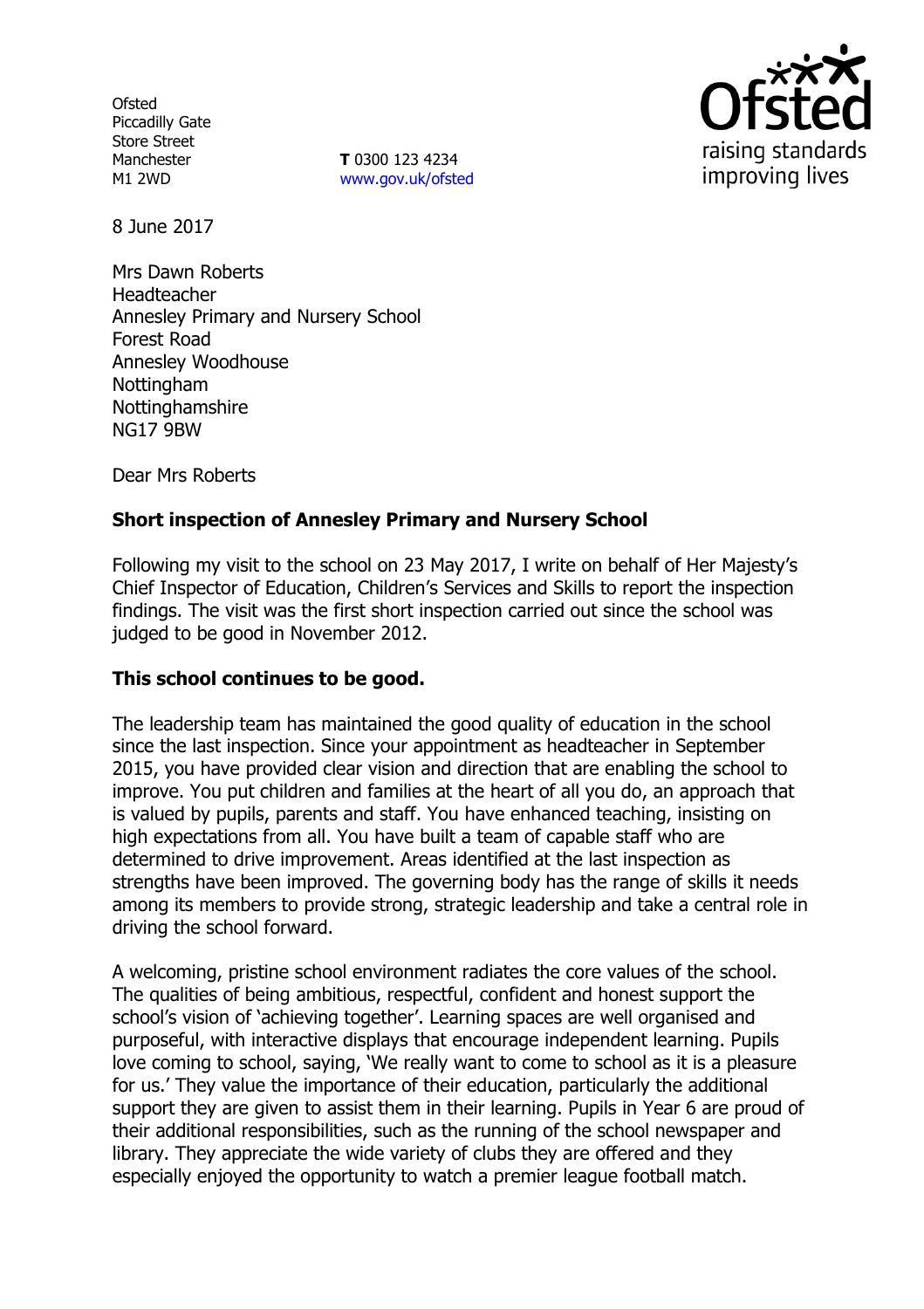**Ofsted** Piccadilly Gate Store Street Manchester M1 2WD

**T** 0300 123 4234 www.gov.uk/ofsted



8 June 2017

Mrs Dawn Roberts Headteacher Annesley Primary and Nursery School Forest Road Annesley Woodhouse **Nottingham** Nottinghamshire NG17 9BW

Dear Mrs Roberts

# **Short inspection of Annesley Primary and Nursery School**

Following my visit to the school on 23 May 2017, I write on behalf of Her Majesty's Chief Inspector of Education, Children's Services and Skills to report the inspection findings. The visit was the first short inspection carried out since the school was judged to be good in November 2012.

#### **This school continues to be good.**

The leadership team has maintained the good quality of education in the school since the last inspection. Since your appointment as headteacher in September 2015, you have provided clear vision and direction that are enabling the school to improve. You put children and families at the heart of all you do, an approach that is valued by pupils, parents and staff. You have enhanced teaching, insisting on high expectations from all. You have built a team of capable staff who are determined to drive improvement. Areas identified at the last inspection as strengths have been improved. The governing body has the range of skills it needs among its members to provide strong, strategic leadership and take a central role in driving the school forward.

A welcoming, pristine school environment radiates the core values of the school. The qualities of being ambitious, respectful, confident and honest support the school's vision of 'achieving together'. Learning spaces are well organised and purposeful, with interactive displays that encourage independent learning. Pupils love coming to school, saying, 'We really want to come to school as it is a pleasure for us.' They value the importance of their education, particularly the additional support they are given to assist them in their learning. Pupils in Year 6 are proud of their additional responsibilities, such as the running of the school newspaper and library. They appreciate the wide variety of clubs they are offered and they especially enjoyed the opportunity to watch a premier league football match.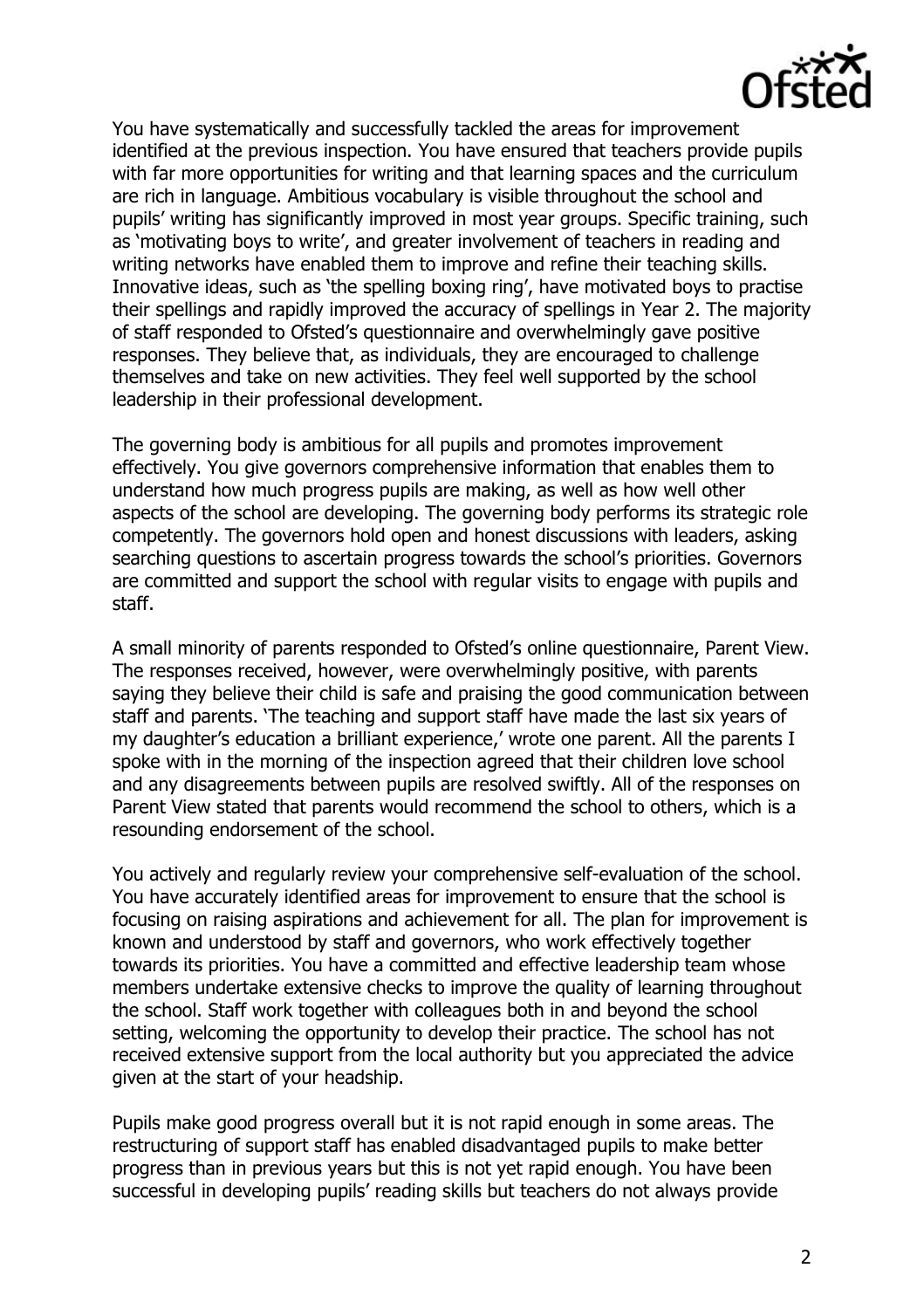

You have systematically and successfully tackled the areas for improvement identified at the previous inspection. You have ensured that teachers provide pupils with far more opportunities for writing and that learning spaces and the curriculum are rich in language. Ambitious vocabulary is visible throughout the school and pupils' writing has significantly improved in most year groups. Specific training, such as 'motivating boys to write', and greater involvement of teachers in reading and writing networks have enabled them to improve and refine their teaching skills. Innovative ideas, such as 'the spelling boxing ring', have motivated boys to practise their spellings and rapidly improved the accuracy of spellings in Year 2. The majority of staff responded to Ofsted's questionnaire and overwhelmingly gave positive responses. They believe that, as individuals, they are encouraged to challenge themselves and take on new activities. They feel well supported by the school leadership in their professional development.

The governing body is ambitious for all pupils and promotes improvement effectively. You give governors comprehensive information that enables them to understand how much progress pupils are making, as well as how well other aspects of the school are developing. The governing body performs its strategic role competently. The governors hold open and honest discussions with leaders, asking searching questions to ascertain progress towards the school's priorities. Governors are committed and support the school with regular visits to engage with pupils and staff.

A small minority of parents responded to Ofsted's online questionnaire, Parent View. The responses received, however, were overwhelmingly positive, with parents saying they believe their child is safe and praising the good communication between staff and parents. 'The teaching and support staff have made the last six years of my daughter's education a brilliant experience,' wrote one parent. All the parents I spoke with in the morning of the inspection agreed that their children love school and any disagreements between pupils are resolved swiftly. All of the responses on Parent View stated that parents would recommend the school to others, which is a resounding endorsement of the school.

You actively and regularly review your comprehensive self-evaluation of the school. You have accurately identified areas for improvement to ensure that the school is focusing on raising aspirations and achievement for all. The plan for improvement is known and understood by staff and governors, who work effectively together towards its priorities. You have a committed and effective leadership team whose members undertake extensive checks to improve the quality of learning throughout the school. Staff work together with colleagues both in and beyond the school setting, welcoming the opportunity to develop their practice. The school has not received extensive support from the local authority but you appreciated the advice given at the start of your headship.

Pupils make good progress overall but it is not rapid enough in some areas. The restructuring of support staff has enabled disadvantaged pupils to make better progress than in previous years but this is not yet rapid enough. You have been successful in developing pupils' reading skills but teachers do not always provide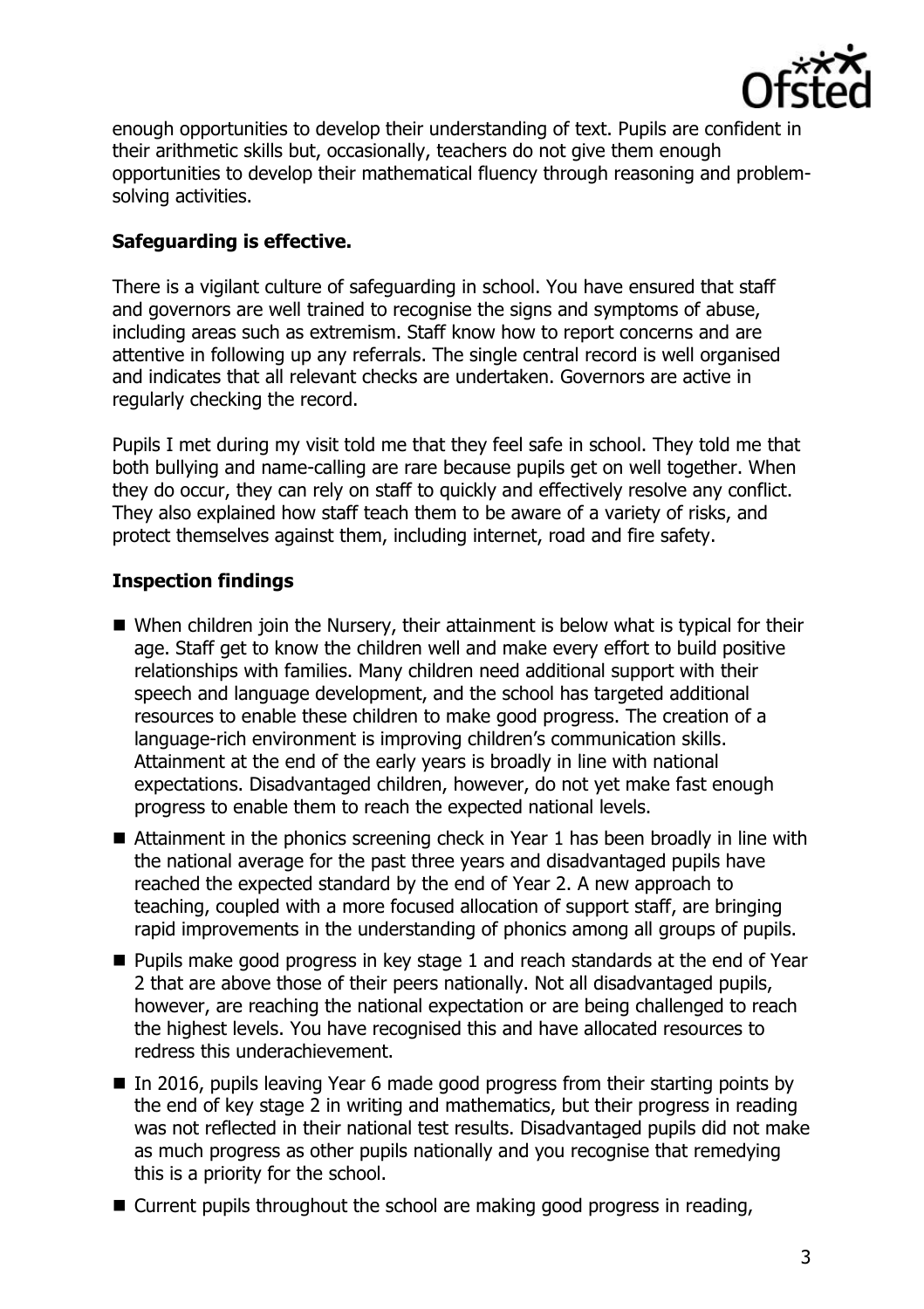

enough opportunities to develop their understanding of text. Pupils are confident in their arithmetic skills but, occasionally, teachers do not give them enough opportunities to develop their mathematical fluency through reasoning and problemsolving activities.

### **Safeguarding is effective.**

There is a vigilant culture of safeguarding in school. You have ensured that staff and governors are well trained to recognise the signs and symptoms of abuse, including areas such as extremism. Staff know how to report concerns and are attentive in following up any referrals. The single central record is well organised and indicates that all relevant checks are undertaken. Governors are active in regularly checking the record.

Pupils I met during my visit told me that they feel safe in school. They told me that both bullying and name-calling are rare because pupils get on well together. When they do occur, they can rely on staff to quickly and effectively resolve any conflict. They also explained how staff teach them to be aware of a variety of risks, and protect themselves against them, including internet, road and fire safety.

# **Inspection findings**

- When children join the Nursery, their attainment is below what is typical for their age. Staff get to know the children well and make every effort to build positive relationships with families. Many children need additional support with their speech and language development, and the school has targeted additional resources to enable these children to make good progress. The creation of a language-rich environment is improving children's communication skills. Attainment at the end of the early years is broadly in line with national expectations. Disadvantaged children, however, do not yet make fast enough progress to enable them to reach the expected national levels.
- Attainment in the phonics screening check in Year 1 has been broadly in line with the national average for the past three years and disadvantaged pupils have reached the expected standard by the end of Year 2. A new approach to teaching, coupled with a more focused allocation of support staff, are bringing rapid improvements in the understanding of phonics among all groups of pupils.
- $\blacksquare$  Pupils make good progress in key stage 1 and reach standards at the end of Year 2 that are above those of their peers nationally. Not all disadvantaged pupils, however, are reaching the national expectation or are being challenged to reach the highest levels. You have recognised this and have allocated resources to redress this underachievement.
- In 2016, pupils leaving Year 6 made good progress from their starting points by the end of key stage 2 in writing and mathematics, but their progress in reading was not reflected in their national test results. Disadvantaged pupils did not make as much progress as other pupils nationally and you recognise that remedying this is a priority for the school.
- Current pupils throughout the school are making good progress in reading,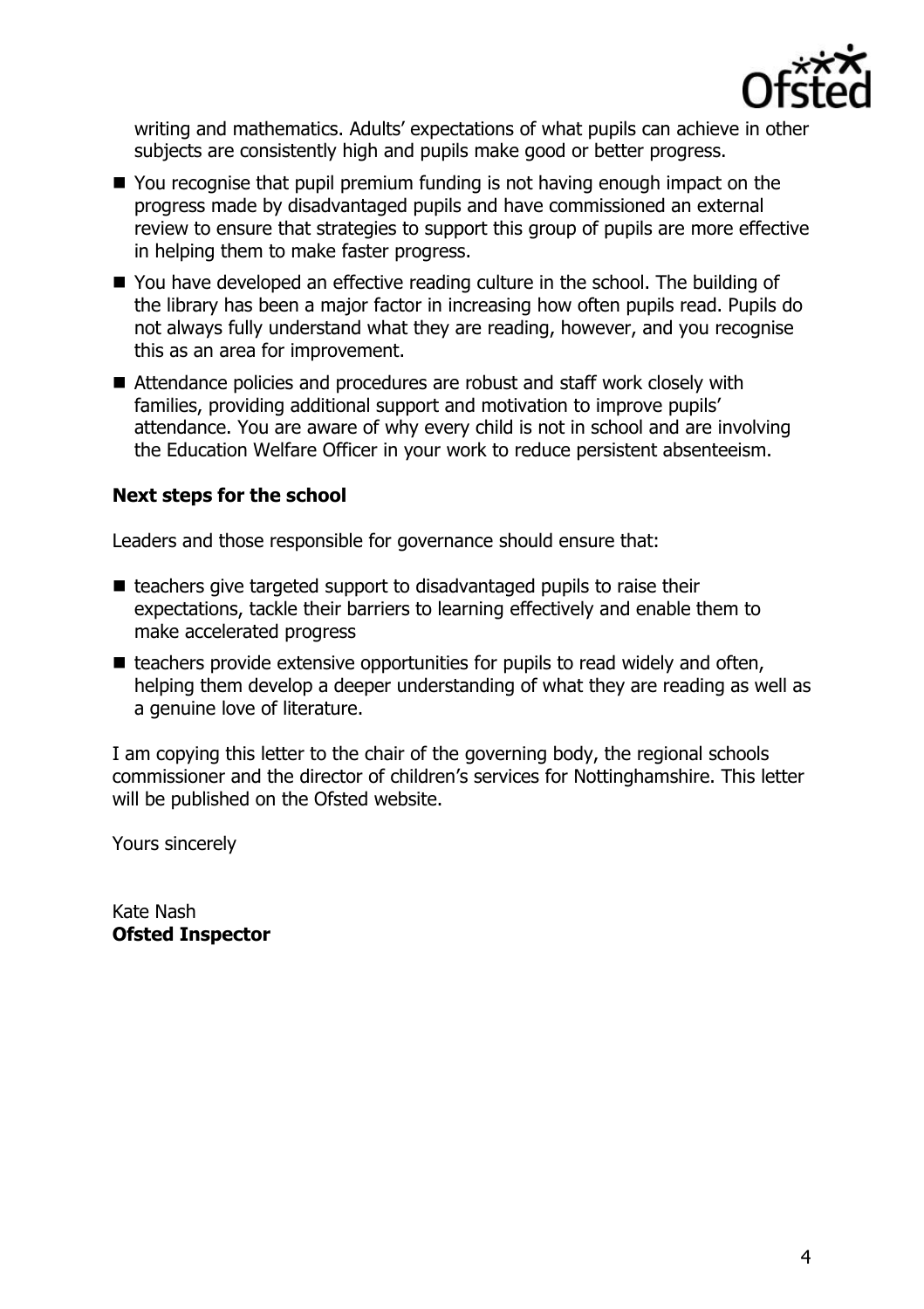

writing and mathematics. Adults' expectations of what pupils can achieve in other subjects are consistently high and pupils make good or better progress.

- You recognise that pupil premium funding is not having enough impact on the progress made by disadvantaged pupils and have commissioned an external review to ensure that strategies to support this group of pupils are more effective in helping them to make faster progress.
- You have developed an effective reading culture in the school. The building of the library has been a major factor in increasing how often pupils read. Pupils do not always fully understand what they are reading, however, and you recognise this as an area for improvement.
- Attendance policies and procedures are robust and staff work closely with families, providing additional support and motivation to improve pupils' attendance. You are aware of why every child is not in school and are involving the Education Welfare Officer in your work to reduce persistent absenteeism.

#### **Next steps for the school**

Leaders and those responsible for governance should ensure that:

- $\blacksquare$  teachers give targeted support to disadvantaged pupils to raise their expectations, tackle their barriers to learning effectively and enable them to make accelerated progress
- $\blacksquare$  teachers provide extensive opportunities for pupils to read widely and often, helping them develop a deeper understanding of what they are reading as well as a genuine love of literature.

I am copying this letter to the chair of the governing body, the regional schools commissioner and the director of children's services for Nottinghamshire. This letter will be published on the Ofsted website.

Yours sincerely

Kate Nash **Ofsted Inspector**